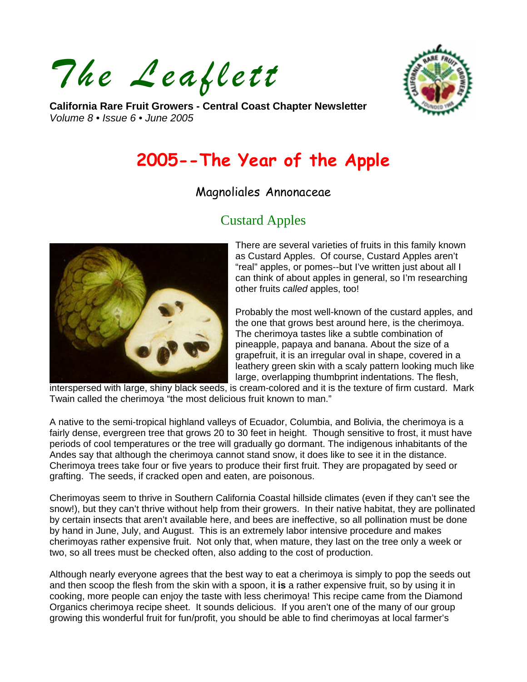*The Leaflett* 



**California Rare Fruit Growers - Central Coast Chapter Newsletter**  *Volume 8 • Issue 6 • June 2005* 

# **2005--The Year of the Apple**

# Magnoliales Annonaceae

# Custard Apples



There are several varieties of fruits in this family known as Custard Apples. Of course, Custard Apples aren't "real" apples, or pomes--but I've written just about all I can think of about apples in general, so I'm researching other fruits *called* apples, too!

Probably the most well-known of the custard apples, and the one that grows best around here, is the cherimoya. The cherimoya tastes like a subtle combination of pineapple, papaya and banana. About the size of a grapefruit, it is an irregular oval in shape, covered in a leathery green skin with a scaly pattern looking much like large, overlapping thumbprint indentations. The flesh,

interspersed with large, shiny black seeds, is cream-colored and it is the texture of firm custard. Mark Twain called the cherimoya "the most delicious fruit known to man."

A native to the semi-tropical highland valleys of Ecuador, Columbia, and Bolivia, the cherimoya is a fairly dense, evergreen tree that grows 20 to 30 feet in height. Though sensitive to frost, it must have periods of cool temperatures or the tree will gradually go dormant. The indigenous inhabitants of the Andes say that although the cherimoya cannot stand snow, it does like to see it in the distance. Cherimoya trees take four or five years to produce their first fruit. They are propagated by seed or grafting. The seeds, if cracked open and eaten, are poisonous.

Cherimoyas seem to thrive in Southern California Coastal hillside climates (even if they can't see the snow!), but they can't thrive without help from their growers. In their native habitat, they are pollinated by certain insects that aren't available here, and bees are ineffective, so all pollination must be done by hand in June, July, and August. This is an extremely labor intensive procedure and makes cherimoyas rather expensive fruit. Not only that, when mature, they last on the tree only a week or two, so all trees must be checked often, also adding to the cost of production.

Although nearly everyone agrees that the best way to eat a cherimoya is simply to pop the seeds out and then scoop the flesh from the skin with a spoon, it **is** a rather expensive fruit, so by using it in cooking, more people can enjoy the taste with less cherimoya! This recipe came from the Diamond Organics cherimoya recipe sheet. It sounds delicious. If you aren't one of the many of our group growing this wonderful fruit for fun/profit, you should be able to find cherimoyas at local farmer's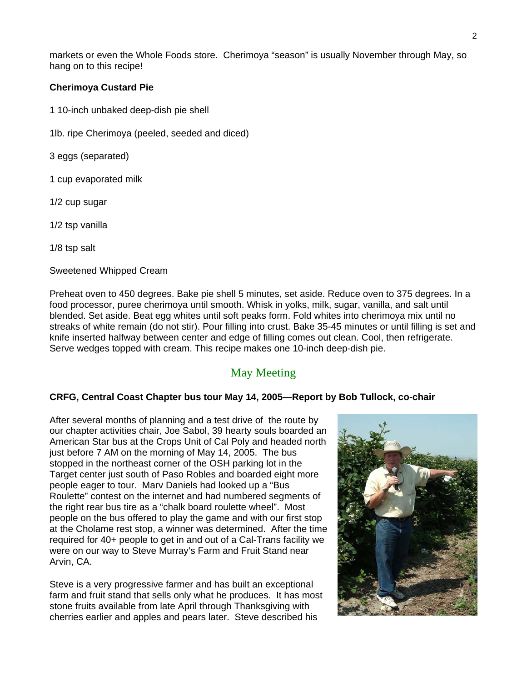markets or even the Whole Foods store. Cherimoya "season" is usually November through May, so hang on to this recipe!

#### **Cherimoya Custard Pie**

- 1 10-inch unbaked deep-dish pie shell
- 1lb. ripe Cherimoya (peeled, seeded and diced)
- 3 eggs (separated)
- 1 cup evaporated milk
- 1/2 cup sugar
- 1/2 tsp vanilla

1/8 tsp salt

Sweetened Whipped Cream

Preheat oven to 450 degrees. Bake pie shell 5 minutes, set aside. Reduce oven to 375 degrees. In a food processor, puree cherimoya until smooth. Whisk in yolks, milk, sugar, vanilla, and salt until blended. Set aside. Beat egg whites until soft peaks form. Fold whites into cherimoya mix until no streaks of white remain (do not stir). Pour filling into crust. Bake 35-45 minutes or until filling is set and knife inserted halfway between center and edge of filling comes out clean. Cool, then refrigerate. Serve wedges topped with cream. This recipe makes one 10-inch deep-dish pie.

## May Meeting

#### **CRFG, Central Coast Chapter bus tour May 14, 2005—Report by Bob Tullock, co-chair**

After several months of planning and a test drive of the route by our chapter activities chair, Joe Sabol, 39 hearty souls boarded an American Star bus at the Crops Unit of Cal Poly and headed north just before 7 AM on the morning of May 14, 2005. The bus stopped in the northeast corner of the OSH parking lot in the Target center just south of Paso Robles and boarded eight more people eager to tour. Marv Daniels had looked up a "Bus Roulette" contest on the internet and had numbered segments of the right rear bus tire as a "chalk board roulette wheel". Most people on the bus offered to play the game and with our first stop at the Cholame rest stop, a winner was determined. After the time required for 40+ people to get in and out of a Cal-Trans facility we were on our way to Steve Murray's Farm and Fruit Stand near Arvin, CA.

Steve is a very progressive farmer and has built an exceptional farm and fruit stand that sells only what he produces. It has most stone fruits available from late April through Thanksgiving with cherries earlier and apples and pears later. Steve described his

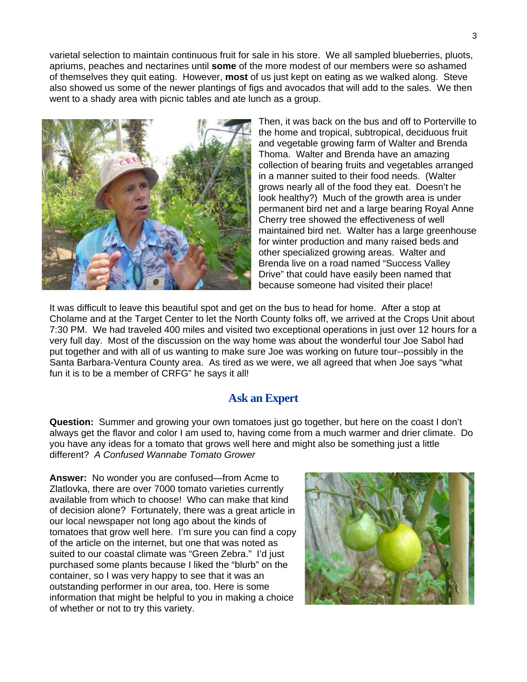varietal selection to maintain continuous fruit for sale in his store. We all sampled blueberries, pluots, apriums, peaches and nectarines until **some** of the more modest of our members were so ashamed of themselves they quit eating. However, **most** of us just kept on eating as we walked along. Steve also showed us some of the newer plantings of figs and avocados that will add to the sales. We then went to a shady area with picnic tables and ate lunch as a group.



Then, it was back on the bus and off to Porterville to the home and tropical, subtropical, deciduous fruit and vegetable growing farm of Walter and Brenda Thoma. Walter and Brenda have an amazing collection of bearing fruits and vegetables arranged in a manner suited to their food needs. (Walter grows nearly all of the food they eat. Doesn't he look healthy?) Much of the growth area is under permanent bird net and a large bearing Royal Anne Cherry tree showed the effectiveness of well maintained bird net. Walter has a large greenhouse for winter production and many raised beds and other specialized growing areas. Walter and Brenda live on a road named "Success Valley Drive" that could have easily been named that because someone had visited their place!

It was difficult to leave this beautiful spot and get on the bus to head for home. After a stop at Cholame and at the Target Center to let the North County folks off, we arrived at the Crops Unit about 7:30 PM. We had traveled 400 miles and visited two exceptional operations in just over 12 hours for a very full day. Most of the discussion on the way home was about the wonderful tour Joe Sabol had put together and with all of us wanting to make sure Joe was working on future tour--possibly in the Santa Barbara-Ventura County area. As tired as we were, we all agreed that when Joe says "what fun it is to be a member of CRFG" he says it all!

#### **Ask an Expert**

**Question:** Summer and growing your own tomatoes just go together, but here on the coast I don't always get the flavor and color I am used to, having come from a much warmer and drier climate. Do you have any ideas for a tomato that grows well here and might also be something just a little different? *A Confused Wannabe Tomato Grower* 

**Answer:** No wonder you are confused—from Acme to Zlatlovka, there are over 7000 tomato varieties currently available from which to choose! Who can make that kind of decision alone? Fortunately, there was a great article in our local newspaper not long ago about the kinds of tomatoes that grow well here. I'm sure you can find a copy of the article on the internet, but one that was noted as suited to our coastal climate was "Green Zebra." I'd just purchased some plants because I liked the "blurb" on the container, so I was very happy to see that it was an outstanding performer in our area, too. Here is some information that might be helpful to you in making a choice of whether or not to try this variety.

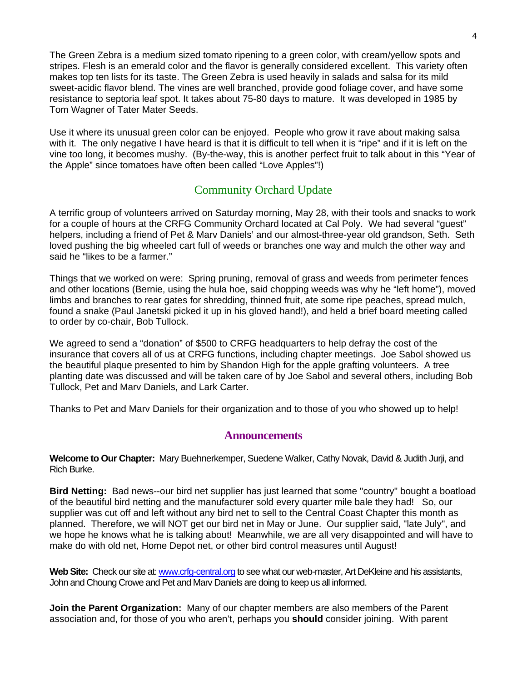The Green Zebra is a medium sized tomato ripening to a green color, with cream/yellow spots and stripes. Flesh is an emerald color and the flavor is generally considered excellent. This variety often makes top ten lists for its taste. The Green Zebra is used heavily in salads and salsa for its mild sweet-acidic flavor blend. The vines are well branched, provide good foliage cover, and have some resistance to septoria leaf spot. It takes about 75-80 days to mature. It was developed in 1985 by Tom Wagner of Tater Mater Seeds.

Use it where its unusual green color can be enjoyed. People who grow it rave about making salsa with it. The only negative I have heard is that it is difficult to tell when it is "ripe" and if it is left on the vine too long, it becomes mushy. (By-the-way, this is another perfect fruit to talk about in this "Year of the Apple" since tomatoes have often been called "Love Apples"!)

## Community Orchard Update

A terrific group of volunteers arrived on Saturday morning, May 28, with their tools and snacks to work for a couple of hours at the CRFG Community Orchard located at Cal Poly. We had several "guest" helpers, including a friend of Pet & Marv Daniels' and our almost-three-year old grandson, Seth. Seth loved pushing the big wheeled cart full of weeds or branches one way and mulch the other way and said he "likes to be a farmer."

Things that we worked on were: Spring pruning, removal of grass and weeds from perimeter fences and other locations (Bernie, using the hula hoe, said chopping weeds was why he "left home"), moved limbs and branches to rear gates for shredding, thinned fruit, ate some ripe peaches, spread mulch, found a snake (Paul Janetski picked it up in his gloved hand!), and held a brief board meeting called to order by co-chair, Bob Tullock.

We agreed to send a "donation" of \$500 to CRFG headquarters to help defray the cost of the insurance that covers all of us at CRFG functions, including chapter meetings. Joe Sabol showed us the beautiful plaque presented to him by Shandon High for the apple grafting volunteers. A tree planting date was discussed and will be taken care of by Joe Sabol and several others, including Bob Tullock, Pet and Marv Daniels, and Lark Carter.

Thanks to Pet and Marv Daniels for their organization and to those of you who showed up to help!

#### **Announcements**

**Welcome to Our Chapter:** Mary Buehnerkemper, Suedene Walker, Cathy Novak, David & Judith Jurji, and Rich Burke.

**Bird Netting:** Bad news--our bird net supplier has just learned that some "country" bought a boatload of the beautiful bird netting and the manufacturer sold every quarter mile bale they had! So, our supplier was cut off and left without any bird net to sell to the Central Coast Chapter this month as planned. Therefore, we will NOT get our bird net in May or June. Our supplier said, "late July", and we hope he knows what he is talking about! Meanwhile, we are all very disappointed and will have to make do with old net, Home Depot net, or other bird control measures until August!

Web Site: Check our site at: [www.crfg-central.org](http://www.crfg-central.org/) to see what our web-master, Art DeKleine and his assistants, John and Choung Crowe and Pet and Marv Daniels are doing to keep us all informed.

**Join the Parent Organization:** Many of our chapter members are also members of the Parent association and, for those of you who aren't, perhaps you **should** consider joining. With parent